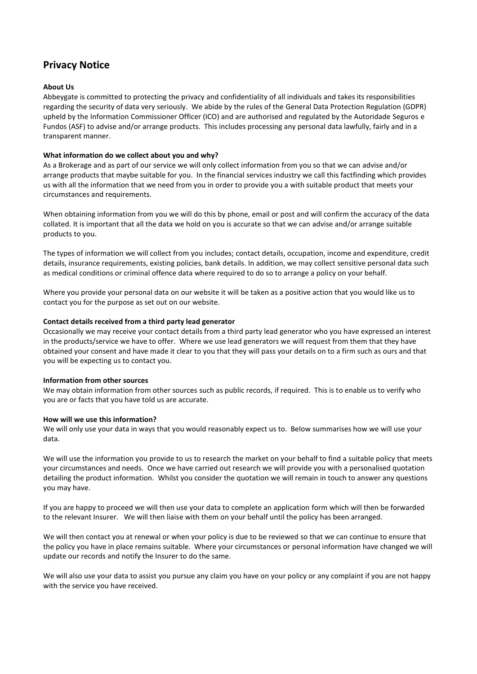# **Privacy Notice**

# **About Us**

 Fundos (ASF) to advise and/or arrange products. This includes processing any personal data lawfully, fairly and in a Abbeygate is committed to protecting the privacy and confidentiality of all individuals and takes its responsibilities regarding the security of data very seriously. We abide by the rules of the General Data Protection Regulation (GDPR) upheld by the Information Commissioner Officer (ICO) and are authorised and regulated by the Autoridade Seguros e transparent manner.

# **What information do we collect about you and why?**

As a Brokerage and as part of our service we will only collect information from you so that we can advise and/or arrange products that maybe suitable for you. In the financial services industry we call this factfinding which provides us with all the information that we need from you in order to provide you a with suitable product that meets your circumstances and requirements.

When obtaining information from you we will do this by phone, email or post and will confirm the accuracy of the data collated. It is important that all the data we hold on you is accurate so that we can advise and/or arrange suitable products to you.

The types of information we will collect from you includes; contact details, occupation, income and expenditure, credit details, insurance requirements, existing policies, bank details. In addition, we may collect sensitive personal data such as medical conditions or criminal offence data where required to do so to arrange a policy on your behalf.

Where you provide your personal data on our website it will be taken as a positive action that you would like us to contact you for the purpose as set out on our website.

# **Contact details received from a third party lead generator**

Occasionally we may receive your contact details from a third party lead generator who you have expressed an interest in the products/service we have to offer. Where we use lead generators we will request from them that they have obtained your consent and have made it clear to you that they will pass your details on to a firm such as ours and that you will be expecting us to contact you.

# **Information from other sources**

We may obtain information from other sources such as public records, if required. This is to enable us to verify who you are or facts that you have told us are accurate.

# **How will we use this information?**

We will only use your data in ways that you would reasonably expect us to. Below summarises how we will use your data.

We will use the information you provide to us to research the market on your behalf to find a suitable policy that meets your circumstances and needs. Once we have carried out research we will provide you with a personalised quotation detailing the product information. Whilst you consider the quotation we will remain in touch to answer any questions you may have.

If you are happy to proceed we will then use your data to complete an application form which will then be forwarded to the relevant Insurer. We will then liaise with them on your behalf until the policy has been arranged.

We will then contact you at renewal or when your policy is due to be reviewed so that we can continue to ensure that the policy you have in place remains suitable. Where your circumstances or personal information have changed we will update our records and notify the Insurer to do the same.

We will also use your data to assist you pursue any claim you have on your policy or any complaint if you are not happy with the service you have received.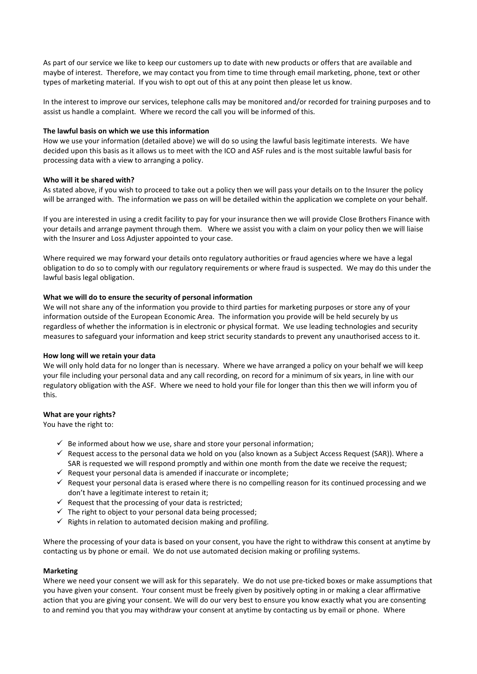As part of our service we like to keep our customers up to date with new products or offers that are available and maybe of interest. Therefore, we may contact you from time to time through email marketing, phone, text or other types of marketing material. If you wish to opt out of this at any point then please let us know.

In the interest to improve our services, telephone calls may be monitored and/or recorded for training purposes and to assist us handle a complaint. Where we record the call you will be informed of this.

## **The lawful basis on which we use this information**

How we use your information (detailed above) we will do so using the lawful basis legitimate interests. We have decided upon this basis as it allows us to meet with the ICO and ASF rules and is the most suitable lawful basis for processing data with a view to arranging a policy.

### **Who will it be shared with?**

As stated above, if you wish to proceed to take out a policy then we will pass your details on to the Insurer the policy will be arranged with. The information we pass on will be detailed within the application we complete on your behalf.

If you are interested in using a credit facility to pay for your insurance then we will provide Close Brothers Finance with your details and arrange payment through them. Where we assist you with a claim on your policy then we will liaise with the Insurer and Loss Adjuster appointed to your case.

Where required we may forward your details onto regulatory authorities or fraud agencies where we have a legal obligation to do so to comply with our regulatory requirements or where fraud is suspected. We may do this under the lawful basis legal obligation.

### **What we will do to ensure the security of personal information**

We will not share any of the information you provide to third parties for marketing purposes or store any of your information outside of the European Economic Area. The information you provide will be held securely by us regardless of whether the information is in electronic or physical format. We use leading technologies and security measures to safeguard your information and keep strict security standards to prevent any unauthorised access to it.

# **How long will we retain your data**

 We will only hold data for no longer than is necessary. Where we have arranged a policy on your behalf we will keep your file including your personal data and any call recording, on record for a minimum of six years, in line with our regulatory obligation with the ASF. Where we need to hold your file for longer than this then we will inform you of this.

# **What are your rights?**

You have the right to:

- $\checkmark$  Be informed about how we use, share and store your personal information;
- $\checkmark$  Request access to the personal data we hold on you (also known as a Subject Access Request (SAR)). Where a SAR is requested we will respond promptly and within one month from the date we receive the request;
- $\checkmark$  Request your personal data is amended if inaccurate or incomplete;
- $\checkmark$  Request your personal data is erased where there is no compelling reason for its continued processing and we don't have a legitimate interest to retain it;
- $\checkmark$  Request that the processing of your data is restricted;
- $\checkmark$  The right to object to your personal data being processed;
- $\checkmark$  Rights in relation to automated decision making and profiling.

Where the processing of your data is based on your consent, you have the right to withdraw this consent at anytime by contacting us by phone or email. We do not use automated decision making or profiling systems.

#### **Marketing**

Where we need your consent we will ask for this separately. We do not use pre-ticked boxes or make assumptions that you have given your consent. Your consent must be freely given by positively opting in or making a clear affirmative action that you are giving your consent. We will do our very best to ensure you know exactly what you are consenting to and remind you that you may withdraw your consent at anytime by contacting us by email or phone. Where